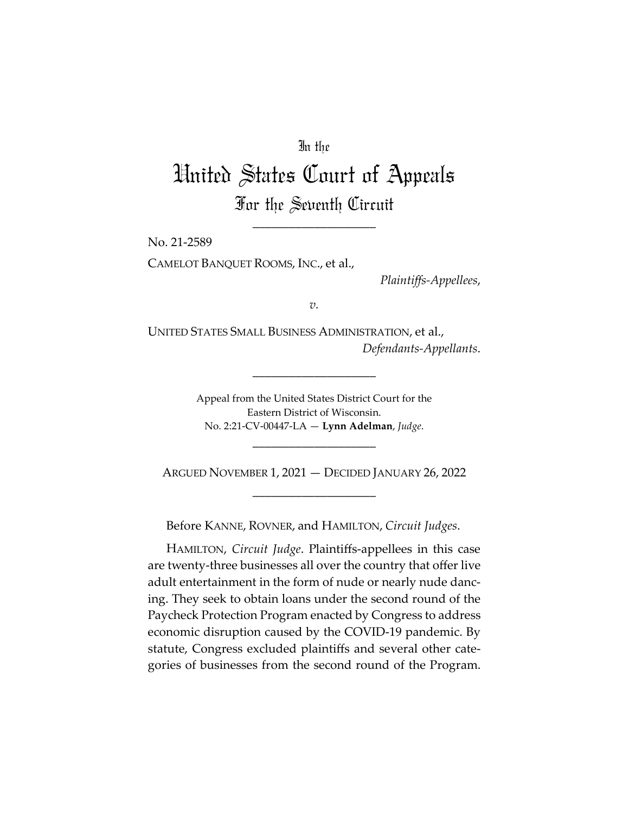# In the

# United States Court of Appeals For the Seventh Circuit

\_\_\_\_\_\_\_\_\_\_\_\_\_\_\_\_\_\_\_\_

No. 21-2589

CAMELOT BANQUET ROOMS, INC., et al.,

*Plaintiffs-Appellees*,

*v.*

UNITED STATES SMALL BUSINESS ADMINISTRATION, et al., *Defendants-Appellants*.

\_\_\_\_\_\_\_\_\_\_\_\_\_\_\_\_\_\_\_\_

Appeal from the United States District Court for the Eastern District of Wisconsin. No. 2:21-CV-00447-LA — **Lynn Adelman**, *Judge*.

\_\_\_\_\_\_\_\_\_\_\_\_\_\_\_\_\_\_\_\_

ARGUED NOVEMBER 1, 2021 — DECIDED JANUARY 26, 2022 \_\_\_\_\_\_\_\_\_\_\_\_\_\_\_\_\_\_\_\_

Before KANNE, ROVNER, and HAMILTON, *Circuit Judges*.

HAMILTON, *Circuit Judge*. Plaintiffs-appellees in this case are twenty-three businesses all over the country that offer live adult entertainment in the form of nude or nearly nude dancing. They seek to obtain loans under the second round of the Paycheck Protection Program enacted by Congress to address economic disruption caused by the COVID-19 pandemic. By statute, Congress excluded plaintiffs and several other categories of businesses from the second round of the Program.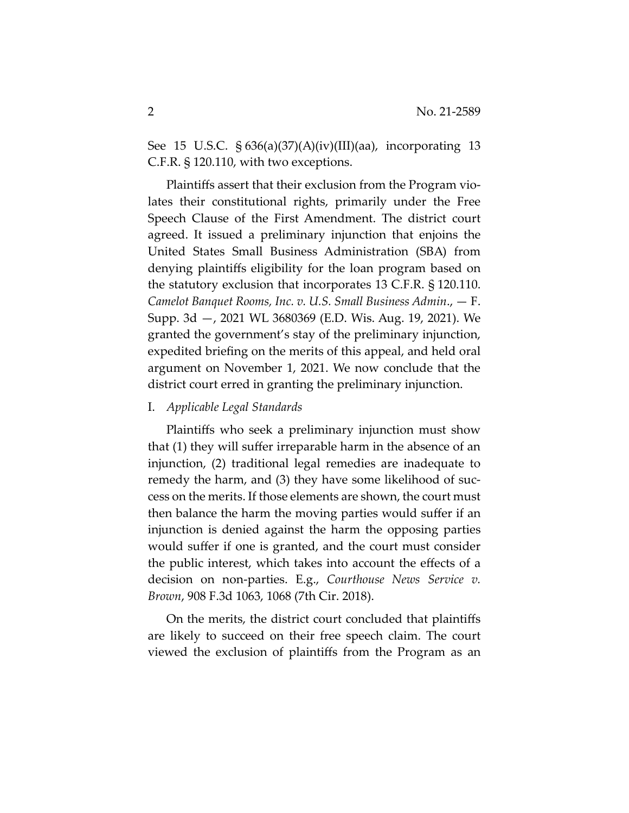See 15 U.S.C. § 636(a)(37)(A)(iv)(III)(aa), incorporating 13 C.F.R. § 120.110, with two exceptions.

Plaintiffs assert that their exclusion from the Program violates their constitutional rights, primarily under the Free Speech Clause of the First Amendment. The district court agreed. It issued a preliminary injunction that enjoins the United States Small Business Administration (SBA) from denying plaintiffs eligibility for the loan program based on the statutory exclusion that incorporates 13 C.F.R. § 120.110. *Camelot Banquet Rooms, Inc. v. U.S. Small Business Admin*., — F. Supp. 3d —, 2021 WL 3680369 (E.D. Wis. Aug. 19, 2021). We granted the government's stay of the preliminary injunction, expedited briefing on the merits of this appeal, and held oral argument on November 1, 2021. We now conclude that the district court erred in granting the preliminary injunction.

## I. *Applicable Legal Standards*

Plaintiffs who seek a preliminary injunction must show that (1) they will suffer irreparable harm in the absence of an injunction, (2) traditional legal remedies are inadequate to remedy the harm, and (3) they have some likelihood of success on the merits. If those elements are shown, the court must then balance the harm the moving parties would suffer if an injunction is denied against the harm the opposing parties would suffer if one is granted, and the court must consider the public interest, which takes into account the effects of a decision on non-parties. E.g., *Courthouse News Service v. Brown*, 908 F.3d 1063, 1068 (7th Cir. 2018).

On the merits, the district court concluded that plaintiffs are likely to succeed on their free speech claim. The court viewed the exclusion of plaintiffs from the Program as an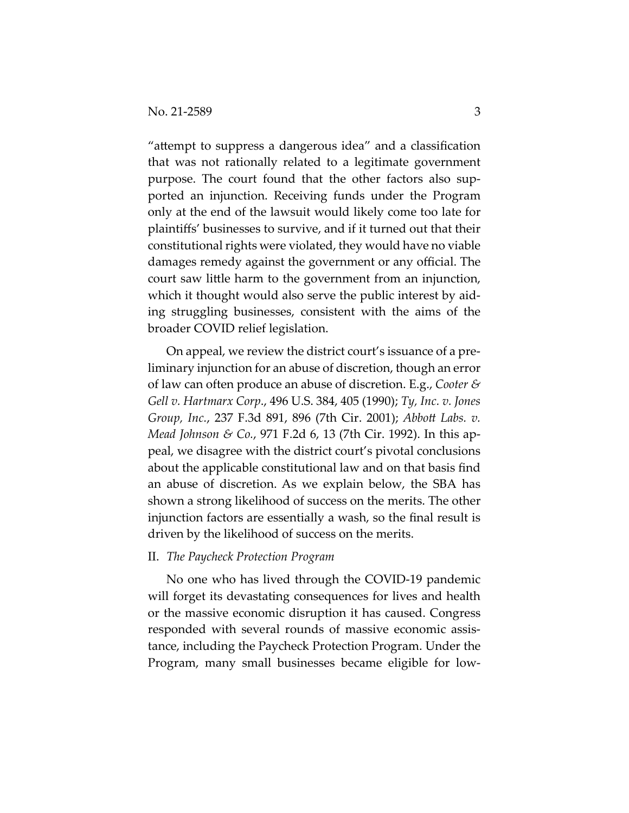"attempt to suppress a dangerous idea" and a classification that was not rationally related to a legitimate government purpose. The court found that the other factors also supported an injunction. Receiving funds under the Program only at the end of the lawsuit would likely come too late for plaintiffs' businesses to survive, and if it turned out that their constitutional rights were violated, they would have no viable damages remedy against the government or any official. The court saw little harm to the government from an injunction, which it thought would also serve the public interest by aiding struggling businesses, consistent with the aims of the broader COVID relief legislation.

On appeal, we review the district court's issuance of a preliminary injunction for an abuse of discretion, though an error of law can often produce an abuse of discretion. E.g., *Cooter & Gell v. Hartmarx Corp*., 496 U.S. 384, 405 (1990); *Ty, Inc. v. Jones Group, Inc.*, 237 F.3d 891, 896 (7th Cir. 2001); *Abbott Labs. v. Mead Johnson & Co.*, 971 F.2d 6, 13 (7th Cir. 1992). In this appeal, we disagree with the district court's pivotal conclusions about the applicable constitutional law and on that basis find an abuse of discretion. As we explain below, the SBA has shown a strong likelihood of success on the merits. The other injunction factors are essentially a wash, so the final result is driven by the likelihood of success on the merits.

#### II. *The Paycheck Protection Program*

No one who has lived through the COVID-19 pandemic will forget its devastating consequences for lives and health or the massive economic disruption it has caused. Congress responded with several rounds of massive economic assistance, including the Paycheck Protection Program. Under the Program, many small businesses became eligible for low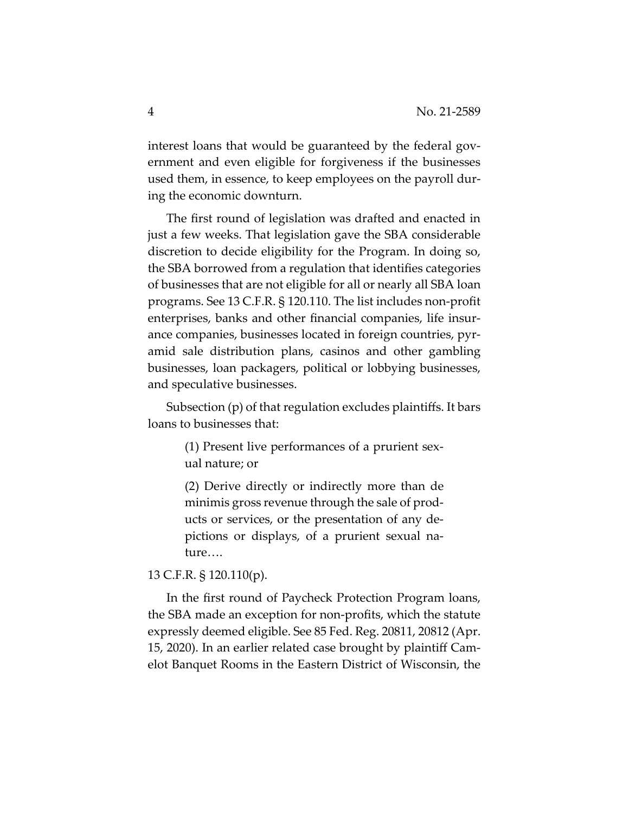interest loans that would be guaranteed by the federal government and even eligible for forgiveness if the businesses used them, in essence, to keep employees on the payroll during the economic downturn.

The first round of legislation was drafted and enacted in just a few weeks. That legislation gave the SBA considerable discretion to decide eligibility for the Program. In doing so, the SBA borrowed from a regulation that identifies categories of businesses that are not eligible for all or nearly all SBA loan programs. See 13 C.F.R. § 120.110. The list includes non-profit enterprises, banks and other financial companies, life insurance companies, businesses located in foreign countries, pyramid sale distribution plans, casinos and other gambling businesses, loan packagers, political or lobbying businesses, and speculative businesses.

Subsection (p) of that regulation excludes plaintiffs. It bars loans to businesses that:

> (1) Present live performances of a prurient sexual nature; or

> (2) Derive directly or indirectly more than de minimis gross revenue through the sale of products or services, or the presentation of any depictions or displays, of a prurient sexual nature….

# 13 C.F.R. § 120.110(p).

In the first round of Paycheck Protection Program loans, the SBA made an exception for non-profits, which the statute expressly deemed eligible. See 85 Fed. Reg. 20811, 20812 (Apr. 15, 2020). In an earlier related case brought by plaintiff Camelot Banquet Rooms in the Eastern District of Wisconsin, the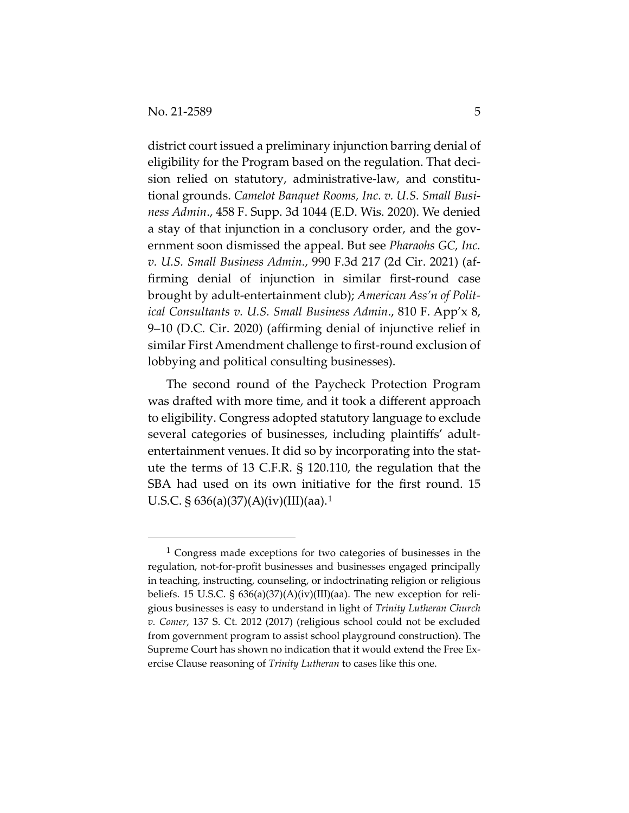district court issued a preliminary injunction barring denial of eligibility for the Program based on the regulation. That decision relied on statutory, administrative-law, and constitutional grounds. *Camelot Banquet Rooms, Inc. v. U.S. Small Business Admin*., 458 F. Supp. 3d 1044 (E.D. Wis. 2020). We denied a stay of that injunction in a conclusory order, and the government soon dismissed the appeal. But see *Pharaohs GC, Inc. v. U.S. Small Business Admin.*, 990 F.3d 217 (2d Cir. 2021) (affirming denial of injunction in similar first-round case brought by adult-entertainment club); *American Ass'n of Political Consultants v. U.S. Small Business Admin*., 810 F. App'x 8, 9–10 (D.C. Cir. 2020) (affirming denial of injunctive relief in similar First Amendment challenge to first-round exclusion of lobbying and political consulting businesses).

The second round of the Paycheck Protection Program was drafted with more time, and it took a different approach to eligibility. Congress adopted statutory language to exclude several categories of businesses, including plaintiffs' adultentertainment venues. It did so by incorporating into the statute the terms of 13 C.F.R. § 120.110, the regulation that the SBA had used on its own initiative for the first round. 15 U.S.C. § 636(a)(37)(A)(iv)(III)(aa).1

<sup>1</sup> Congress made exceptions for two categories of businesses in the regulation, not-for-profit businesses and businesses engaged principally in teaching, instructing, counseling, or indoctrinating religion or religious beliefs. 15 U.S.C. § 636(a)(37)(A)(iv)(III)(aa). The new exception for religious businesses is easy to understand in light of *Trinity Lutheran Church v. Comer*, 137 S. Ct. 2012 (2017) (religious school could not be excluded from government program to assist school playground construction). The Supreme Court has shown no indication that it would extend the Free Exercise Clause reasoning of *Trinity Lutheran* to cases like this one.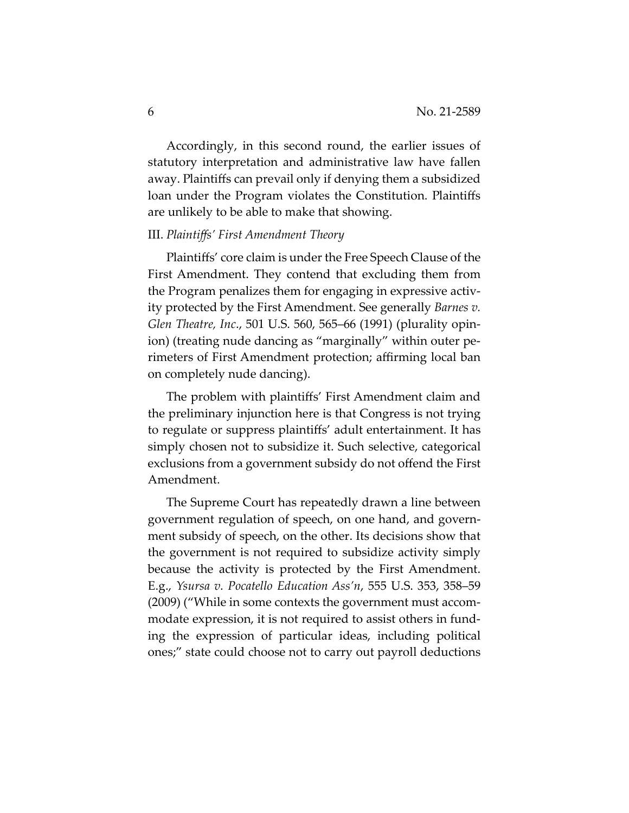Accordingly, in this second round, the earlier issues of statutory interpretation and administrative law have fallen away. Plaintiffs can prevail only if denying them a subsidized loan under the Program violates the Constitution. Plaintiffs are unlikely to be able to make that showing.

#### III. *Plaintiffs' First Amendment Theory*

Plaintiffs' core claim is under the Free Speech Clause of the First Amendment. They contend that excluding them from the Program penalizes them for engaging in expressive activity protected by the First Amendment. See generally *Barnes v. Glen Theatre, Inc*., 501 U.S. 560, 565–66 (1991) (plurality opinion) (treating nude dancing as "marginally" within outer perimeters of First Amendment protection; affirming local ban on completely nude dancing).

The problem with plaintiffs' First Amendment claim and the preliminary injunction here is that Congress is not trying to regulate or suppress plaintiffs' adult entertainment. It has simply chosen not to subsidize it. Such selective, categorical exclusions from a government subsidy do not offend the First Amendment.

The Supreme Court has repeatedly drawn a line between government regulation of speech, on one hand, and government subsidy of speech, on the other. Its decisions show that the government is not required to subsidize activity simply because the activity is protected by the First Amendment. E.g., *Ysursa v. Pocatello Education Ass'n*, 555 U.S. 353, 358–59 (2009) ("While in some contexts the government must accommodate expression, it is not required to assist others in funding the expression of particular ideas, including political ones;" state could choose not to carry out payroll deductions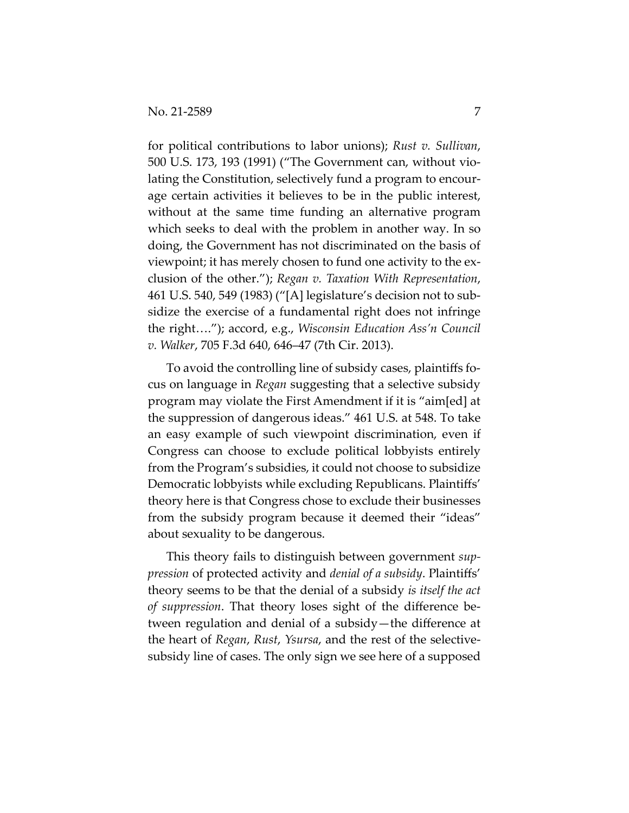for political contributions to labor unions); *Rust v. Sullivan*, 500 U.S. 173, 193 (1991) ("The Government can, without violating the Constitution, selectively fund a program to encourage certain activities it believes to be in the public interest, without at the same time funding an alternative program which seeks to deal with the problem in another way. In so doing, the Government has not discriminated on the basis of viewpoint; it has merely chosen to fund one activity to the exclusion of the other."); *Regan v. Taxation With Representation*, 461 U.S. 540, 549 (1983) ("[A] legislature's decision not to subsidize the exercise of a fundamental right does not infringe the right…."); accord, e.g., *Wisconsin Education Ass'n Council v. Walker*, 705 F.3d 640, 646–47 (7th Cir. 2013).

To avoid the controlling line of subsidy cases, plaintiffs focus on language in *Regan* suggesting that a selective subsidy program may violate the First Amendment if it is "aim[ed] at the suppression of dangerous ideas." 461 U.S. at 548. To take an easy example of such viewpoint discrimination, even if Congress can choose to exclude political lobbyists entirely from the Program's subsidies, it could not choose to subsidize Democratic lobbyists while excluding Republicans. Plaintiffs' theory here is that Congress chose to exclude their businesses from the subsidy program because it deemed their "ideas" about sexuality to be dangerous.

This theory fails to distinguish between government *suppression* of protected activity and *denial of a subsidy*. Plaintiffs' theory seems to be that the denial of a subsidy *is itself the act of suppression*. That theory loses sight of the difference between regulation and denial of a subsidy—the difference at the heart of *Regan*, *Rust*, *Ysursa*, and the rest of the selectivesubsidy line of cases. The only sign we see here of a supposed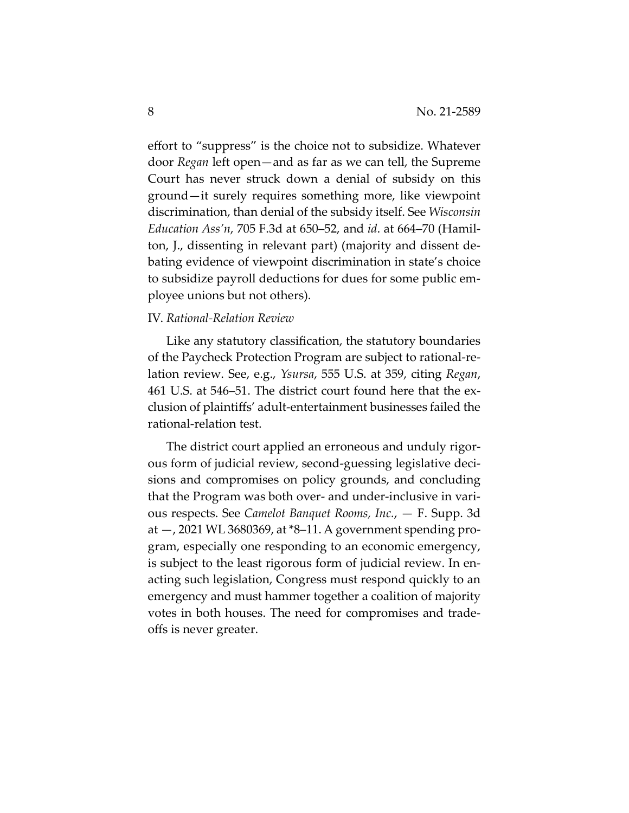effort to "suppress" is the choice not to subsidize. Whatever door *Regan* left open—and as far as we can tell, the Supreme Court has never struck down a denial of subsidy on this ground—it surely requires something more, like viewpoint discrimination, than denial of the subsidy itself. See *Wisconsin Education Ass'n*, 705 F.3d at 650–52, and *id*. at 664–70 (Hamilton, J., dissenting in relevant part) (majority and dissent debating evidence of viewpoint discrimination in state's choice to subsidize payroll deductions for dues for some public employee unions but not others).

## IV. *Rational-Relation Review*

Like any statutory classification, the statutory boundaries of the Paycheck Protection Program are subject to rational-relation review. See, e.g., *Ysursa*, 555 U.S. at 359, citing *Regan*, 461 U.S. at 546–51. The district court found here that the exclusion of plaintiffs' adult-entertainment businesses failed the rational-relation test.

The district court applied an erroneous and unduly rigorous form of judicial review, second-guessing legislative decisions and compromises on policy grounds, and concluding that the Program was both over- and under-inclusive in various respects. See *Camelot Banquet Rooms, Inc.*, — F. Supp. 3d at —, 2021 WL 3680369, at \*8–11. A government spending program, especially one responding to an economic emergency, is subject to the least rigorous form of judicial review. In enacting such legislation, Congress must respond quickly to an emergency and must hammer together a coalition of majority votes in both houses. The need for compromises and tradeoffs is never greater.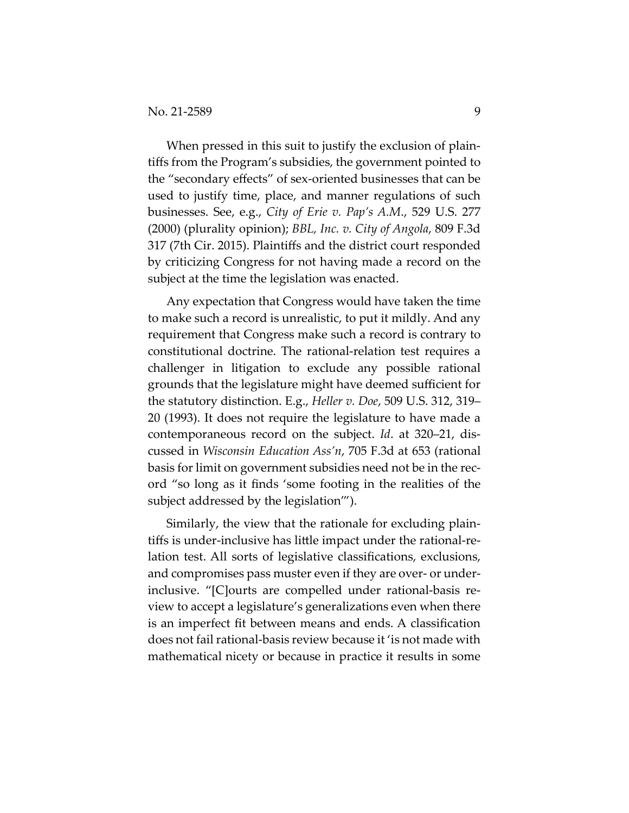When pressed in this suit to justify the exclusion of plaintiffs from the Program's subsidies, the government pointed to the "secondary effects" of sex-oriented businesses that can be used to justify time, place, and manner regulations of such businesses. See, e.g., *City of Erie v. Pap's A.M*., 529 U.S. 277 (2000) (plurality opinion); *BBL, Inc. v. City of Angola*, 809 F.3d 317 (7th Cir. 2015). Plaintiffs and the district court responded by criticizing Congress for not having made a record on the subject at the time the legislation was enacted.

Any expectation that Congress would have taken the time to make such a record is unrealistic, to put it mildly. And any requirement that Congress make such a record is contrary to constitutional doctrine. The rational-relation test requires a challenger in litigation to exclude any possible rational grounds that the legislature might have deemed sufficient for the statutory distinction. E.g., *Heller v. Doe*, 509 U.S. 312, 319– 20 (1993). It does not require the legislature to have made a contemporaneous record on the subject. *Id*. at 320–21, discussed in *Wisconsin Education Ass'n*, 705 F.3d at 653 (rational basis for limit on government subsidies need not be in the record "so long as it finds 'some footing in the realities of the subject addressed by the legislation'").

Similarly, the view that the rationale for excluding plaintiffs is under-inclusive has little impact under the rational-relation test. All sorts of legislative classifications, exclusions, and compromises pass muster even if they are over- or underinclusive. "[C]ourts are compelled under rational-basis review to accept a legislature's generalizations even when there is an imperfect fit between means and ends. A classification does not fail rational-basis review because it 'is not made with mathematical nicety or because in practice it results in some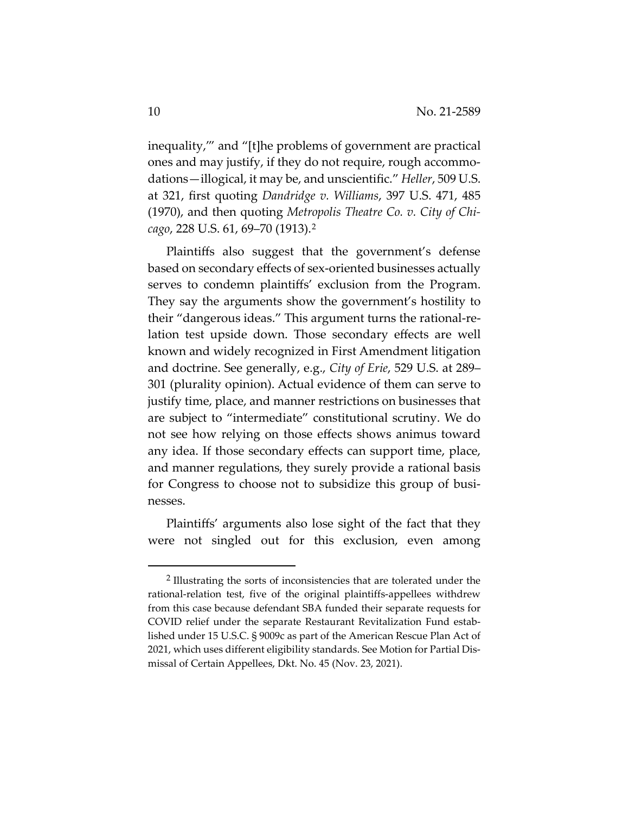inequality,'" and "[t]he problems of government are practical ones and may justify, if they do not require, rough accommodations—illogical, it may be, and unscientific." *Heller*, 509 U.S. at 321, first quoting *Dandridge v. Williams*, 397 U.S. 471, 485 (1970), and then quoting *Metropolis Theatre Co. v. City of Chicago*, 228 U.S. 61, 69–70 (1913).2

Plaintiffs also suggest that the government's defense based on secondary effects of sex-oriented businesses actually serves to condemn plaintiffs' exclusion from the Program. They say the arguments show the government's hostility to their "dangerous ideas." This argument turns the rational-relation test upside down. Those secondary effects are well known and widely recognized in First Amendment litigation and doctrine. See generally, e.g., *City of Erie*, 529 U.S. at 289– 301 (plurality opinion). Actual evidence of them can serve to justify time, place, and manner restrictions on businesses that are subject to "intermediate" constitutional scrutiny. We do not see how relying on those effects shows animus toward any idea. If those secondary effects can support time, place, and manner regulations, they surely provide a rational basis for Congress to choose not to subsidize this group of businesses.

Plaintiffs' arguments also lose sight of the fact that they were not singled out for this exclusion, even among

<sup>2</sup> Illustrating the sorts of inconsistencies that are tolerated under the rational-relation test, five of the original plaintiffs-appellees withdrew from this case because defendant SBA funded their separate requests for COVID relief under the separate Restaurant Revitalization Fund established under 15 U.S.C. § 9009c as part of the American Rescue Plan Act of 2021, which uses different eligibility standards. See Motion for Partial Dismissal of Certain Appellees, Dkt. No. 45 (Nov. 23, 2021).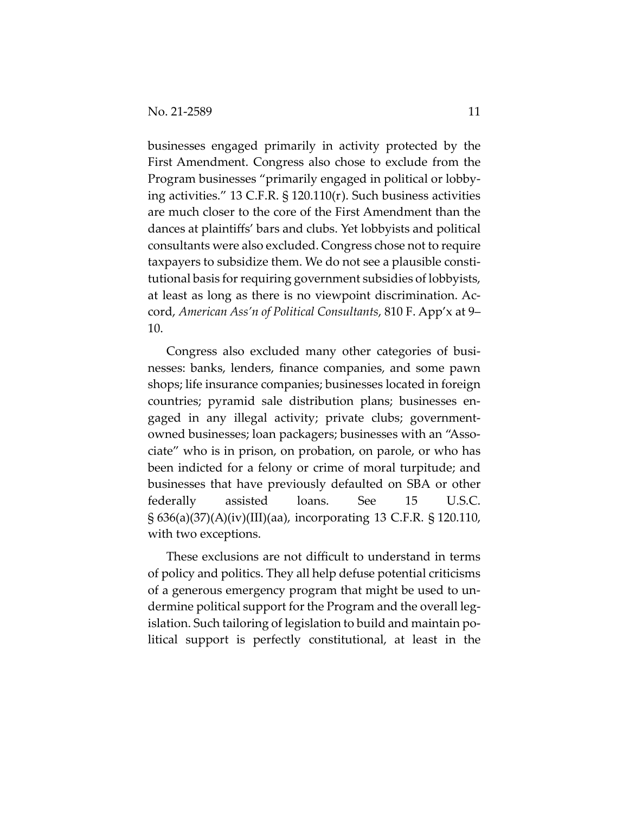businesses engaged primarily in activity protected by the First Amendment. Congress also chose to exclude from the Program businesses "primarily engaged in political or lobbying activities." 13 C.F.R. § 120.110(r). Such business activities are much closer to the core of the First Amendment than the dances at plaintiffs' bars and clubs. Yet lobbyists and political consultants were also excluded. Congress chose not to require taxpayers to subsidize them. We do not see a plausible constitutional basis for requiring government subsidies of lobbyists, at least as long as there is no viewpoint discrimination. Accord, *American Ass'n of Political Consultants*, 810 F. App'x at 9– 10.

Congress also excluded many other categories of businesses: banks, lenders, finance companies, and some pawn shops; life insurance companies; businesses located in foreign countries; pyramid sale distribution plans; businesses engaged in any illegal activity; private clubs; governmentowned businesses; loan packagers; businesses with an "Associate" who is in prison, on probation, on parole, or who has been indicted for a felony or crime of moral turpitude; and businesses that have previously defaulted on SBA or other federally assisted loans. See 15 U.S.C. § 636(a)(37)(A)(iv)(III)(aa), incorporating 13 C.F.R. § 120.110, with two exceptions.

These exclusions are not difficult to understand in terms of policy and politics. They all help defuse potential criticisms of a generous emergency program that might be used to undermine political support for the Program and the overall legislation. Such tailoring of legislation to build and maintain political support is perfectly constitutional, at least in the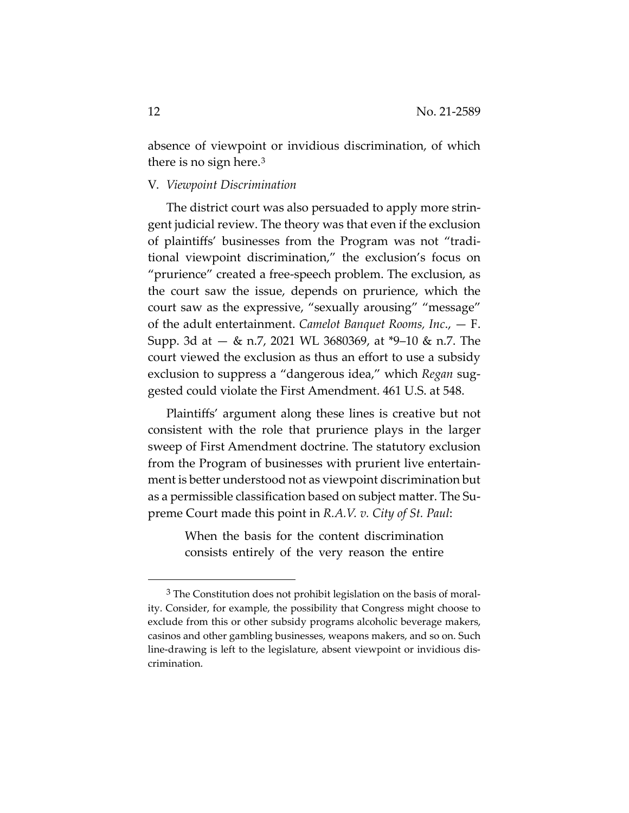absence of viewpoint or invidious discrimination, of which there is no sign here.3

#### V. *Viewpoint Discrimination*

The district court was also persuaded to apply more stringent judicial review. The theory was that even if the exclusion of plaintiffs' businesses from the Program was not "traditional viewpoint discrimination," the exclusion's focus on "prurience" created a free-speech problem. The exclusion, as the court saw the issue, depends on prurience, which the court saw as the expressive, "sexually arousing" "message" of the adult entertainment. *Camelot Banquet Rooms, Inc*., — F. Supp. 3d at — & n.7, 2021 WL 3680369, at \*9–10 & n.7. The court viewed the exclusion as thus an effort to use a subsidy exclusion to suppress a "dangerous idea," which *Regan* suggested could violate the First Amendment. 461 U.S. at 548.

Plaintiffs' argument along these lines is creative but not consistent with the role that prurience plays in the larger sweep of First Amendment doctrine. The statutory exclusion from the Program of businesses with prurient live entertainment is better understood not as viewpoint discrimination but as a permissible classification based on subject matter. The Supreme Court made this point in *R.A.V. v. City of St. Paul*:

> When the basis for the content discrimination consists entirely of the very reason the entire

<sup>&</sup>lt;sup>3</sup> The Constitution does not prohibit legislation on the basis of morality. Consider, for example, the possibility that Congress might choose to exclude from this or other subsidy programs alcoholic beverage makers, casinos and other gambling businesses, weapons makers, and so on. Such line-drawing is left to the legislature, absent viewpoint or invidious discrimination.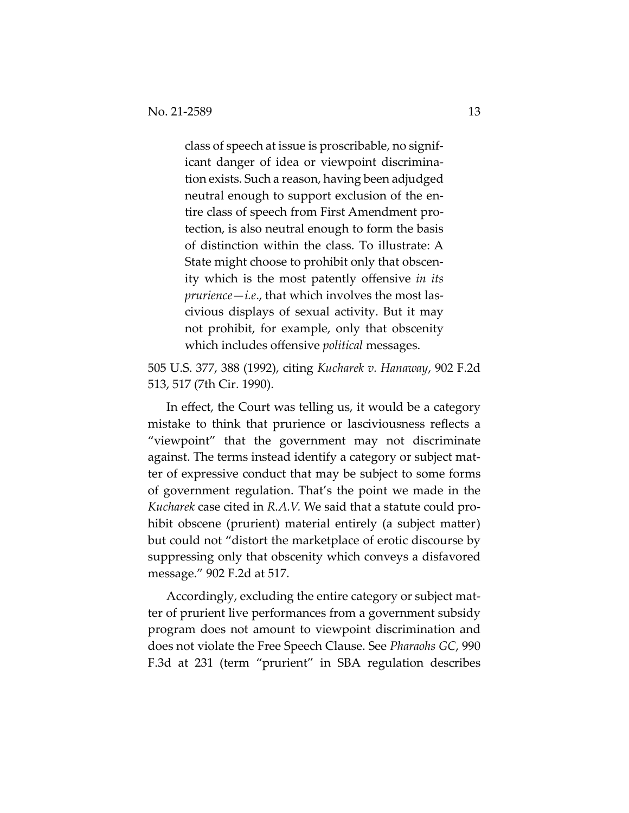class of speech at issue is proscribable, no significant danger of idea or viewpoint discrimination exists. Such a reason, having been adjudged neutral enough to support exclusion of the entire class of speech from First Amendment protection, is also neutral enough to form the basis of distinction within the class. To illustrate: A State might choose to prohibit only that obscenity which is the most patently offensive *in its prurience*—*i.e*., that which involves the most lascivious displays of sexual activity. But it may not prohibit, for example, only that obscenity which includes offensive *political* messages.

505 U.S. 377, 388 (1992), citing *Kucharek v. Hanaway*, 902 F.2d 513, 517 (7th Cir. 1990).

In effect, the Court was telling us, it would be a category mistake to think that prurience or lasciviousness reflects a "viewpoint" that the government may not discriminate against. The terms instead identify a category or subject matter of expressive conduct that may be subject to some forms of government regulation. That's the point we made in the *Kucharek* case cited in *R.A.V.* We said that a statute could prohibit obscene (prurient) material entirely (a subject matter) but could not "distort the marketplace of erotic discourse by suppressing only that obscenity which conveys a disfavored message." 902 F.2d at 517.

Accordingly, excluding the entire category or subject matter of prurient live performances from a government subsidy program does not amount to viewpoint discrimination and does not violate the Free Speech Clause. See *Pharaohs GC*, 990 F.3d at 231 (term "prurient" in SBA regulation describes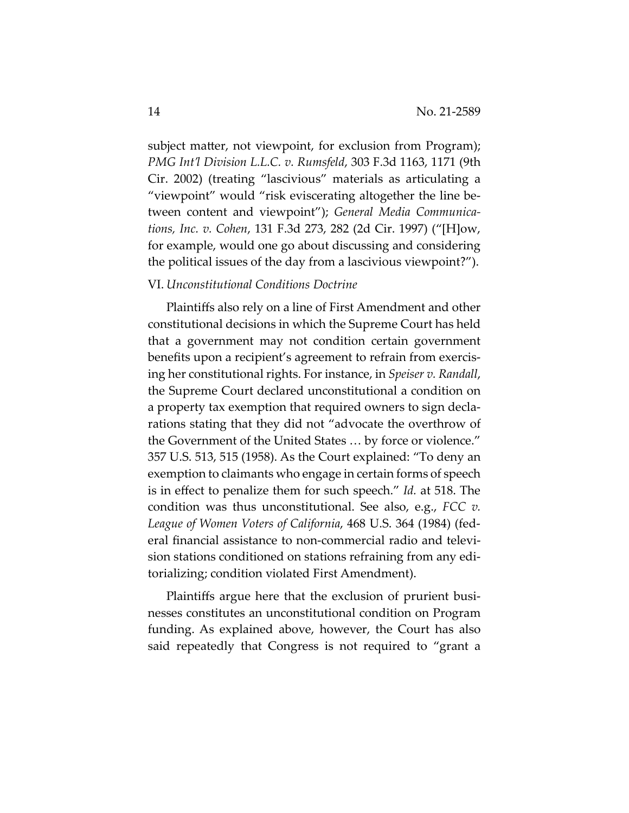subject matter, not viewpoint, for exclusion from Program); *PMG Int'l Division L.L.C. v. Rumsfeld*, 303 F.3d 1163, 1171 (9th Cir. 2002) (treating "lascivious" materials as articulating a "viewpoint" would "risk eviscerating altogether the line between content and viewpoint"); *General Media Communications, Inc. v. Cohen*, 131 F.3d 273, 282 (2d Cir. 1997) ("[H]ow, for example, would one go about discussing and considering the political issues of the day from a lascivious viewpoint?").

#### VI. *Unconstitutional Conditions Doctrine*

Plaintiffs also rely on a line of First Amendment and other constitutional decisions in which the Supreme Court has held that a government may not condition certain government benefits upon a recipient's agreement to refrain from exercising her constitutional rights. For instance, in *Speiser v. Randall*, the Supreme Court declared unconstitutional a condition on a property tax exemption that required owners to sign declarations stating that they did not "advocate the overthrow of the Government of the United States … by force or violence." 357 U.S. 513, 515 (1958). As the Court explained: "To deny an exemption to claimants who engage in certain forms of speech is in effect to penalize them for such speech." *Id.* at 518. The condition was thus unconstitutional. See also, e.g., *FCC v. League of Women Voters of California*, 468 U.S. 364 (1984) (federal financial assistance to non-commercial radio and television stations conditioned on stations refraining from any editorializing; condition violated First Amendment).

Plaintiffs argue here that the exclusion of prurient businesses constitutes an unconstitutional condition on Program funding. As explained above, however, the Court has also said repeatedly that Congress is not required to "grant a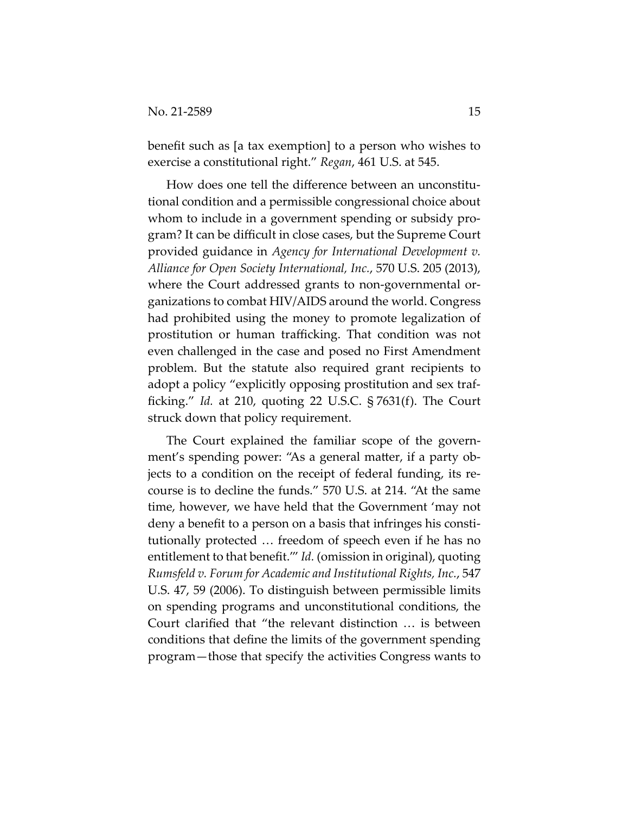benefit such as [a tax exemption] to a person who wishes to exercise a constitutional right." *Regan*, 461 U.S. at 545.

How does one tell the difference between an unconstitutional condition and a permissible congressional choice about whom to include in a government spending or subsidy program? It can be difficult in close cases, but the Supreme Court provided guidance in *Agency for International Development v. Alliance for Open Society International, Inc.*, 570 U.S. 205 (2013), where the Court addressed grants to non-governmental organizations to combat HIV/AIDS around the world. Congress had prohibited using the money to promote legalization of prostitution or human trafficking. That condition was not even challenged in the case and posed no First Amendment problem. But the statute also required grant recipients to adopt a policy "explicitly opposing prostitution and sex trafficking." *Id.* at 210, quoting 22 U.S.C. § 7631(f). The Court struck down that policy requirement.

The Court explained the familiar scope of the government's spending power: "As a general matter, if a party objects to a condition on the receipt of federal funding, its recourse is to decline the funds." 570 U.S. at 214. "At the same time, however, we have held that the Government 'may not deny a benefit to a person on a basis that infringes his constitutionally protected … freedom of speech even if he has no entitlement to that benefit.'" *Id.* (omission in original), quoting *Rumsfeld v. Forum for Academic and Institutional Rights, Inc.*, 547 U.S. 47, 59 (2006). To distinguish between permissible limits on spending programs and unconstitutional conditions, the Court clarified that "the relevant distinction … is between conditions that define the limits of the government spending program—those that specify the activities Congress wants to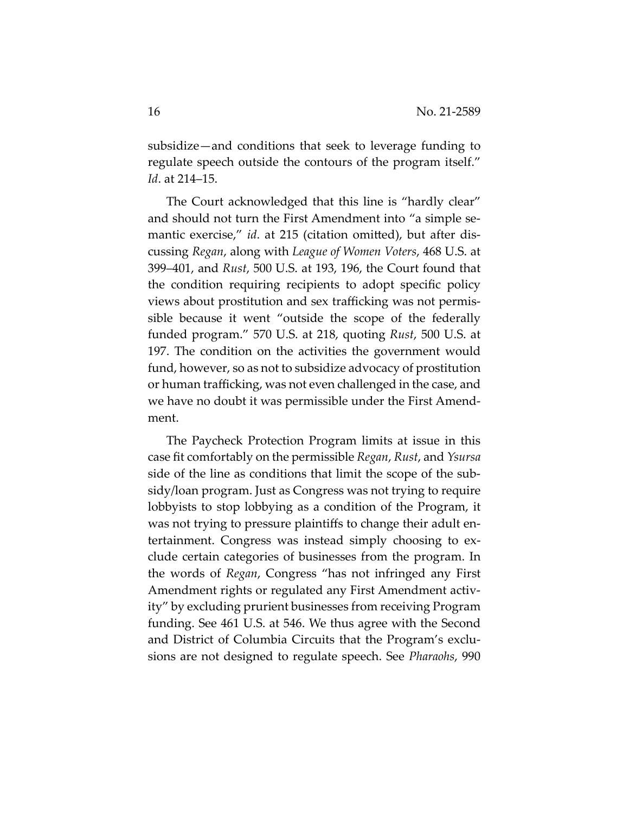subsidize—and conditions that seek to leverage funding to regulate speech outside the contours of the program itself." *Id*. at 214–15.

The Court acknowledged that this line is "hardly clear" and should not turn the First Amendment into "a simple semantic exercise," *id*. at 215 (citation omitted), but after discussing *Regan*, along with *League of Women Voters*, 468 U.S. at 399–401, and *Rust*, 500 U.S. at 193, 196, the Court found that the condition requiring recipients to adopt specific policy views about prostitution and sex trafficking was not permissible because it went "outside the scope of the federally funded program." 570 U.S. at 218, quoting *Rust*, 500 U.S. at 197. The condition on the activities the government would fund, however, so as not to subsidize advocacy of prostitution or human trafficking, was not even challenged in the case, and we have no doubt it was permissible under the First Amendment.

The Paycheck Protection Program limits at issue in this case fit comfortably on the permissible *Regan*, *Rust*, and *Ysursa* side of the line as conditions that limit the scope of the subsidy/loan program. Just as Congress was not trying to require lobbyists to stop lobbying as a condition of the Program, it was not trying to pressure plaintiffs to change their adult entertainment. Congress was instead simply choosing to exclude certain categories of businesses from the program. In the words of *Regan*, Congress "has not infringed any First Amendment rights or regulated any First Amendment activity" by excluding prurient businesses from receiving Program funding. See 461 U.S. at 546. We thus agree with the Second and District of Columbia Circuits that the Program's exclusions are not designed to regulate speech. See *Pharaohs*, 990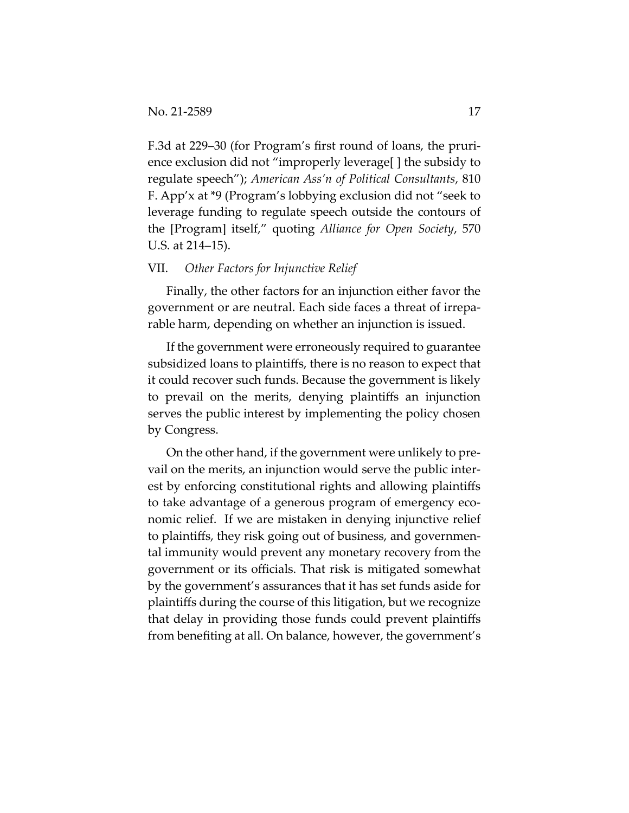F.3d at 229–30 (for Program's first round of loans, the prurience exclusion did not "improperly leverage[ ] the subsidy to regulate speech"); *American Ass'n of Political Consultants*, 810 F. App'x at \*9 (Program's lobbying exclusion did not "seek to leverage funding to regulate speech outside the contours of the [Program] itself," quoting *Alliance for Open Society*, 570 U.S. at 214–15).

### VII. *Other Factors for Injunctive Relief*

Finally, the other factors for an injunction either favor the government or are neutral. Each side faces a threat of irreparable harm, depending on whether an injunction is issued.

If the government were erroneously required to guarantee subsidized loans to plaintiffs, there is no reason to expect that it could recover such funds. Because the government is likely to prevail on the merits, denying plaintiffs an injunction serves the public interest by implementing the policy chosen by Congress.

On the other hand, if the government were unlikely to prevail on the merits, an injunction would serve the public interest by enforcing constitutional rights and allowing plaintiffs to take advantage of a generous program of emergency economic relief. If we are mistaken in denying injunctive relief to plaintiffs, they risk going out of business, and governmental immunity would prevent any monetary recovery from the government or its officials. That risk is mitigated somewhat by the government's assurances that it has set funds aside for plaintiffs during the course of this litigation, but we recognize that delay in providing those funds could prevent plaintiffs from benefiting at all. On balance, however, the government's